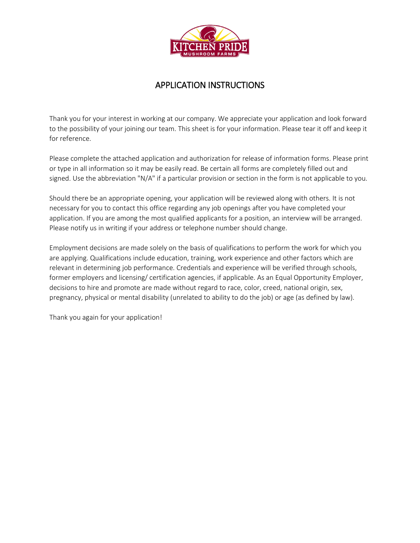

## APPLICATION INSTRUCTIONS

Thank you for your interest in working at our company. We appreciate your application and look forward to the possibility of your joining our team. This sheet is for your information. Please tear it off and keep it for reference.

Please complete the attached application and authorization for release of information forms. Please print or type in all information so it may be easily read. Be certain all forms are completely filled out and signed. Use the abbreviation "N/A" if a particular provision or section in the form is not applicable to you.

Should there be an appropriate opening, your application will be reviewed along with others. It is not necessary for you to contact this office regarding any job openings after you have completed your application. If you are among the most qualified applicants for a position, an interview will be arranged. Please notify us in writing if your address or telephone number should change.

Employment decisions are made solely on the basis of qualifications to perform the work for which you are applying. Qualifications include education, training, work experience and other factors which are relevant in determining job performance. Credentials and experience will be verified through schools, former employers and licensing/ certification agencies, if applicable. As an Equal Opportunity Employer, decisions to hire and promote are made without regard to race, color, creed, national origin, sex, pregnancy, physical or mental disability (unrelated to ability to do the job) or age (as defined by law).

Thank you again for your application!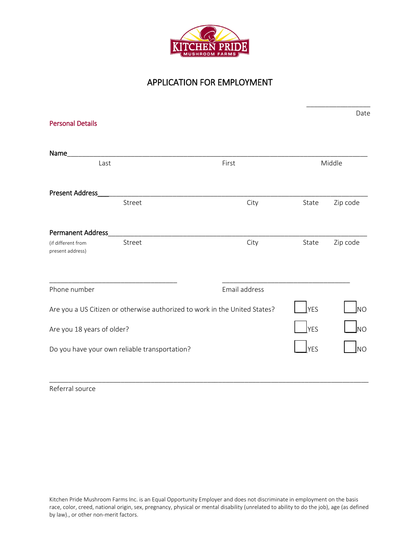

# APPLICATION FOR EMPLOYMENT

\_\_\_\_\_\_\_\_\_\_\_\_\_\_\_\_\_

|                                                                            | Middle        |                                   |
|----------------------------------------------------------------------------|---------------|-----------------------------------|
|                                                                            |               |                                   |
| City                                                                       | State         | Zip code                          |
|                                                                            |               |                                   |
|                                                                            |               | Zip code                          |
| Email address                                                              |               |                                   |
| Are you a US Citizen or otherwise authorized to work in the United States? |               |                                   |
| Are you 18 years of older?                                                 |               | lno                               |
|                                                                            | <b>YES</b>    | <b>NO</b>                         |
|                                                                            |               |                                   |
|                                                                            | First<br>City | State<br><b>YES</b><br><b>YES</b> |

Referral source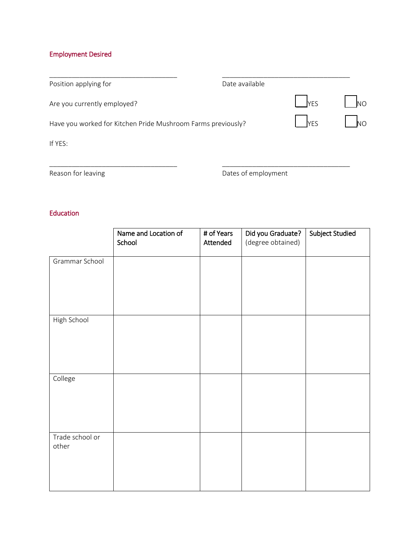### Employment Desired

| Position applying for                                        | Date available |            |           |
|--------------------------------------------------------------|----------------|------------|-----------|
| Are you currently employed?                                  |                | <b>YES</b> | <b>NO</b> |
| Have you worked for Kitchen Pride Mushroom Farms previously? |                | <b>YES</b> | <b>NO</b> |
| If YES:                                                      |                |            |           |
|                                                              |                |            |           |

Reason for leaving

Dates of employment

#### Education

|                          | Name and Location of<br>School | # of Years<br>Attended | Did you Graduate?<br>(degree obtained) | Subject Studied |
|--------------------------|--------------------------------|------------------------|----------------------------------------|-----------------|
| Grammar School           |                                |                        |                                        |                 |
| High School              |                                |                        |                                        |                 |
| College                  |                                |                        |                                        |                 |
| Trade school or<br>other |                                |                        |                                        |                 |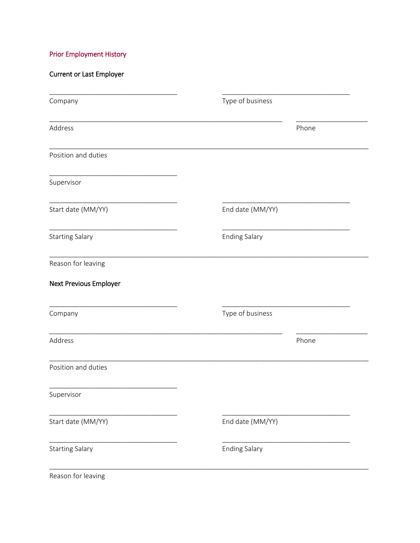### **Prior Employment History**

### **Current or Last Employer**

| Company                | Type of business     |
|------------------------|----------------------|
| Address                | Phone                |
| Position and duties    |                      |
| Supervisor             |                      |
| Start date (MM/YY)     | End date (MM/YY)     |
| <b>Starting Salary</b> | <b>Ending Salary</b> |
| Reason for leaving     |                      |
| Next Previous Employer |                      |
| Company                | Type of business     |
| Address                | Phone                |
| Position and duties    |                      |
| Supervisor             |                      |
| Start date (MM/YY)     | End date (MM/YY)     |
| <b>Starting Salary</b> | <b>Ending Salary</b> |
|                        |                      |

Reason for leaving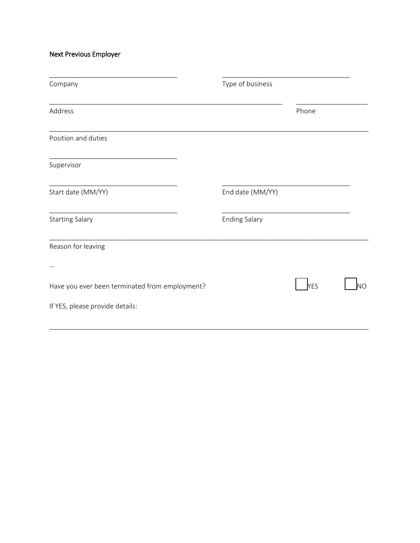Next Previous Employer

| Company                                        | Type of business     |       |    |  |
|------------------------------------------------|----------------------|-------|----|--|
| Address                                        |                      | Phone |    |  |
| Position and duties                            |                      |       |    |  |
| Supervisor                                     |                      |       |    |  |
| Start date (MM/YY)                             | End date (MM/YY)     |       |    |  |
| <b>Starting Salary</b>                         | <b>Ending Salary</b> |       |    |  |
| Reason for leaving                             |                      |       |    |  |
|                                                |                      |       |    |  |
| Have you ever been terminated from employment? |                      | YES   | ŃО |  |
| If YES, please provide details:                |                      |       |    |  |
|                                                |                      |       |    |  |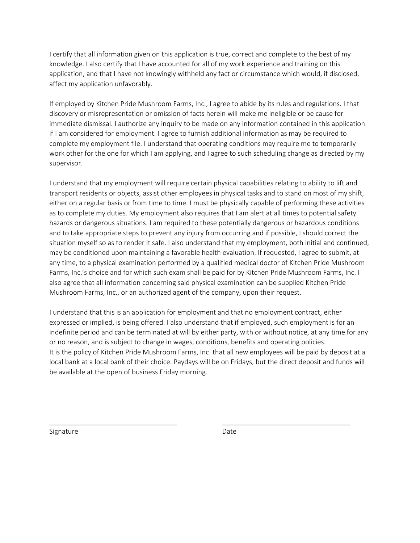I certify that all information given on this application is true, correct and complete to the best of my knowledge. I also certify that I have accounted for all of my work experience and training on this application, and that I have not knowingly withheld any fact or circumstance which would, if disclosed, affect my application unfavorably.

If employed by Kitchen Pride Mushroom Farms, Inc., I agree to abide by its rules and regulations. I that discovery or misrepresentation or omission of facts herein will make me ineligible or be cause for immediate dismissal. I authorize any inquiry to be made on any information contained in this application if I am considered for employment. I agree to furnish additional information as may be required to complete my employment file. I understand that operating conditions may require me to temporarily work other for the one for which I am applying, and I agree to such scheduling change as directed by my supervisor.

I understand that my employment will require certain physical capabilities relating to ability to lift and transport residents or objects, assist other employees in physical tasks and to stand on most of my shift, either on a regular basis or from time to time. I must be physically capable of performing these activities as to complete my duties. My employment also requires that I am alert at all times to potential safety hazards or dangerous situations. I am required to these potentially dangerous or hazardous conditions and to take appropriate steps to prevent any injury from occurring and if possible, I should correct the situation myself so as to render it safe. I also understand that my employment, both initial and continued, may be conditioned upon maintaining a favorable health evaluation. If requested, I agree to submit, at any time, to a physical examination performed by a qualified medical doctor of Kitchen Pride Mushroom Farms, Inc.'s choice and for which such exam shall be paid for by Kitchen Pride Mushroom Farms, Inc. I also agree that all information concerning said physical examination can be supplied Kitchen Pride Mushroom Farms, Inc., or an authorized agent of the company, upon their request.

I understand that this is an application for employment and that no employment contract, either expressed or implied, is being offered. I also understand that if employed, such employment is for an indefinite period and can be terminated at will by either party, with or without notice, at any time for any or no reason, and is subject to change in wages, conditions, benefits and operating policies. It is the policy of Kitchen Pride Mushroom Farms, Inc. that all new employees will be paid by deposit at a local bank at a local bank of their choice. Paydays will be on Fridays, but the direct deposit and funds will be available at the open of business Friday morning.

Signature

\_\_\_\_\_\_\_\_\_\_\_\_\_\_\_\_\_\_\_\_\_\_\_\_\_\_\_\_\_\_\_\_\_\_

Date

\_\_\_\_\_\_\_\_\_\_\_\_\_\_\_\_\_\_\_\_\_\_\_\_\_\_\_\_\_\_\_\_\_\_